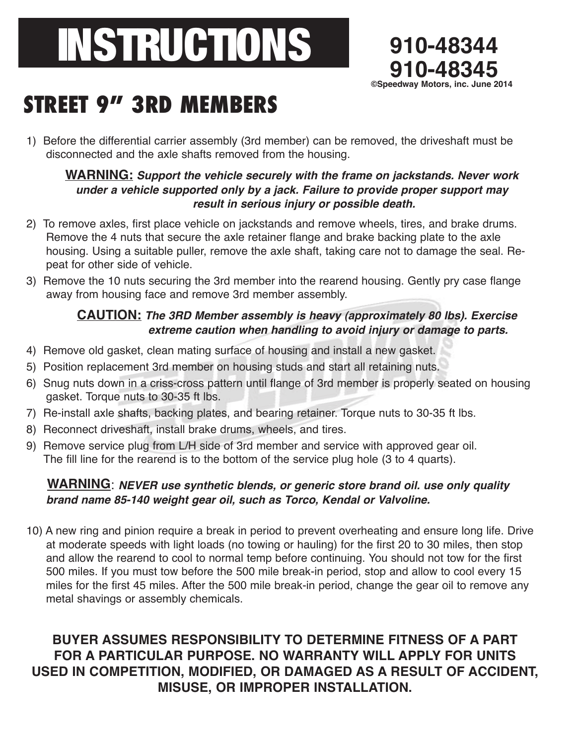# INSTRUCTIONS **910-48344**



# **STREET 9" 3RD MEMBERS**

1) Before the differential carrier assembly (3rd member) can be removed, the driveshaft must be disconnected and the axle shafts removed from the housing.

### **WARNING: Support the vehicle securely with the frame on jackstands. Never work under <sup>a</sup> vehicle supported only by <sup>a</sup> jack. Failure to provide proper support may result in serious injury or possible death.**

- 2) To remove axles, first place vehicle on jackstands and remove wheels, tires, and brake drums. Remove the 4 nuts that secure the axle retainer flange and brake backing plate to the axle housing. Using a suitable puller, remove the axle shaft, taking care not to damage the seal. Repeat for other side of vehicle.
- 3) Remove the 10 nuts securing the 3rd member into the rearend housing. Gently pry case flange away from housing face and remove 3rd member assembly.

# **CAUTION: The 3RD Member assembly is heavy (approximately <sup>80</sup> lbs). Exercise extreme caution when handling to avoid injury or damage to parts.**

- 4) Remove old gasket, clean mating surface of housing and install a new gasket.
- 5) Position replacement 3rd member on housing studs and start all retaining nuts.
- 6) Snug nuts down in a criss-cross pattern until flange of 3rd member is properly seated on housing gasket. Torque nuts to 30-35 ft lbs.
- 7) Re-install axle shafts, backing plates, and bearing retainer. Torque nuts to 30-35 ft lbs.
- 8) Reconnect driveshaft, install brake drums, wheels, and tires.
- 9) Remove service plug from L/H side of 3rd member and service with approved gear oil. The fill line for the rearend is to the bottom of the service plug hole (3 to 4 quarts).

# **WARNING**: **NEVER use synthetic blends, or generic store brand oil. use only quality brand name 85-140 weight gear oil, such as Torco, Kendal or Valvoline.**

10) A new ring and pinion require a break in period to prevent overheating and ensure long life. Drive at moderate speeds with light loads (no towing or hauling) for the first 20 to 30 miles, then stop and allow the rearend to cool to normal temp before continuing. You should not tow for the first 500 miles. If you must tow before the 500 mile break-in period, stop and allow to cool every 15 miles for the first 45 miles. After the 500 mile break-in period, change the gear oil to remove any metal shavings or assembly chemicals.

# **BUYER ASSUMES RESPONSIBILITY TO DETERMINE FITNESS OF A PART FOR A PARTICULAR PURPOSE. NO WARRANTY WILL APPLY FOR UNITS USED IN COMPETITION, MODIFIED, OR DAMAGED AS A RESULT OF ACCIDENT, MISUSE, OR IMPROPER INSTALLATION.**